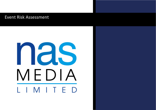## Event Risk Assessment

## nas MEDIA L I M I T E D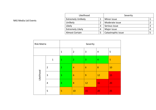| Likelihood                |   | Severity           |  |
|---------------------------|---|--------------------|--|
| <b>Extremely Unlikely</b> |   | Minor issue        |  |
| Unlikely                  |   | Moderate issue     |  |
| Likely                    | 3 | Serious issue      |  |
| <b>Extremely Likely</b>   | 4 | Major issue        |  |
| <b>Almost Certain</b>     | 5 | Catastrophic issue |  |

## Risk Matrix **National Community** Severity 1 |2 |3 |4 |5 Likelihood 1 |1 |2 |3 |4 |<mark>5</mark> 2 <mark>2 4 6 8 10</mark> 3 <mark>3 6 9 12 15</mark> 4 <mark>4 8 12 16 20</mark> 5 <mark>5 10 15 20 25</mark>

## NAS Media Ltd Events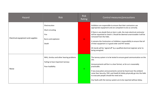| <b>Hazard</b>                     | <b>Risk</b>                                                                                       | <b>Risk</b><br>Rating | Control measures/precautions                                                                                                                                                                                                                                                                                                                                                                                                                                                                                                                                |
|-----------------------------------|---------------------------------------------------------------------------------------------------|-----------------------|-------------------------------------------------------------------------------------------------------------------------------------------------------------------------------------------------------------------------------------------------------------------------------------------------------------------------------------------------------------------------------------------------------------------------------------------------------------------------------------------------------------------------------------------------------------|
| Electrical equipment and supplies | Electrocution<br>Short-circuiting<br>Fire<br>Burns and explosion<br>Death                         | 15                    | Exhibitors are responsible to ensure that their contractors use<br>appropriate equipment and are competent to do so correctly.<br>If there is any doubt that an item is safe, the main electrical contractor<br>will be requested to check it. Should be deemed unserviceable it will be<br>removed from the Halls.<br>It remains the Contractors or Exhibitors responsibility to ensure that all<br>of their equipment is in good order and PAT tested.<br>All stands will be 'signed off' by a qualified electrical engineer prior to<br>being energised. |
| <b>Noise</b>                      | NIHL, tinnitus and other hearing problems<br>Failing to hear important tannoys<br>Poor Audibility | $\overline{a}$        | The tannoy system is to be tested to ensure good communication on the<br>site.<br>Announcements will be in a clear format, so far as is reasonably<br>practicable.<br>If any evacuation announcements cannot be heard over the ambient<br>noise then Security, FM's and Health & Safety physically go into the Halls<br>to evacuate people should the need arise.<br>Any faults with the tannoy system are to be reported without delay.                                                                                                                    |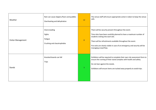| Weather            | Rain can cause slippery floors and puddles<br>Overheating and dehydration | 12               | The venue staff will ensure appropriate action is taken to keep the venue<br>safe.                                                                                                                                                                                                                                                   |
|--------------------|---------------------------------------------------------------------------|------------------|--------------------------------------------------------------------------------------------------------------------------------------------------------------------------------------------------------------------------------------------------------------------------------------------------------------------------------------|
| Visitor Management | Overcrowding<br>Fights<br>Fatigue<br>Crushing and claustrophobia          | $\boldsymbol{8}$ | There will be security present throughout the event.<br>Time slots have been carefully planned to have a maximum number of<br>students visiting into each slot.<br>There will be refreshments available throughout the event.<br>Fire exits are clearly visible in case of an emergency and security will be<br>managing crowd flow. |
| <b>Stands</b>      | Knocked boards can fall<br><b>Trips</b>                                   | 3                | Exhibitors will be required to complete their own risk assessment form to<br>ensure the running of their stand complies with health and safety.<br>Do not lean against the stands.<br>Exhibitors will ensure items are tucked away properly to avoid trips.                                                                          |